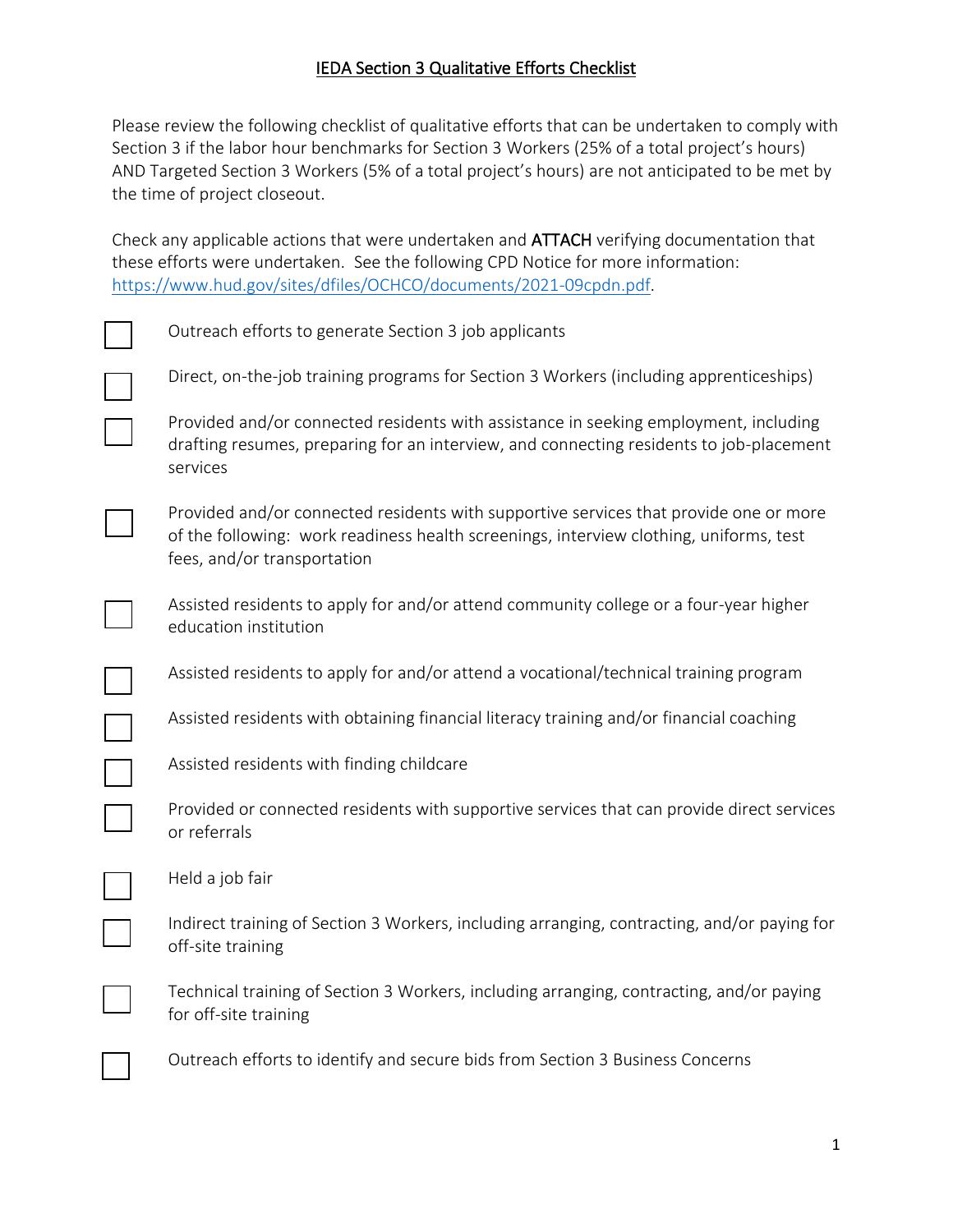## **IEDA Section 3 Qualitative Efforts Checklist**

Please review the following checklist of qualitative efforts that can be undertaken to comply with Section 3 if the labor hour benchmarks for Section 3 Workers (25% of a total project's hours) AND Targeted Section 3 Workers (5% of a total project's hours) are not anticipated to be met by the time of project closeout.

Check any applicable actions that were undertaken and ATTACH verifying documentation that these efforts were undertaken. See the following CPD Notice for more information: [https://www.hud.gov/sites/dfiles/OCHCO/documents/2021-09cpdn.pdf.](https://www.hud.gov/sites/dfiles/OCHCO/documents/2021-09cpdn.pdf)

| Outreach efforts to generate Section 3 job applicants                                                                                                                                                          |
|----------------------------------------------------------------------------------------------------------------------------------------------------------------------------------------------------------------|
| Direct, on-the-job training programs for Section 3 Workers (including apprenticeships)                                                                                                                         |
| Provided and/or connected residents with assistance in seeking employment, including<br>drafting resumes, preparing for an interview, and connecting residents to job-placement<br>services                    |
| Provided and/or connected residents with supportive services that provide one or more<br>of the following: work readiness health screenings, interview clothing, uniforms, test<br>fees, and/or transportation |
| Assisted residents to apply for and/or attend community college or a four-year higher<br>education institution                                                                                                 |
| Assisted residents to apply for and/or attend a vocational/technical training program                                                                                                                          |
| Assisted residents with obtaining financial literacy training and/or financial coaching                                                                                                                        |
| Assisted residents with finding childcare                                                                                                                                                                      |
| Provided or connected residents with supportive services that can provide direct services<br>or referrals                                                                                                      |
| Held a job fair                                                                                                                                                                                                |
| Indirect training of Section 3 Workers, including arranging, contracting, and/or paying for<br>off-site training                                                                                               |
| Technical training of Section 3 Workers, including arranging, contracting, and/or paying<br>for off-site training                                                                                              |
| Outreach efforts to identify and secure bids from Section 3 Business Concerns                                                                                                                                  |